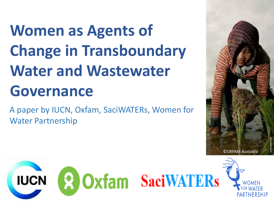## **Women as Agents of Change in Transboundary Water and Wastewater Governance**

A paper by IUCN, Oxfam, SaciWATERs, Women for Water Partnership



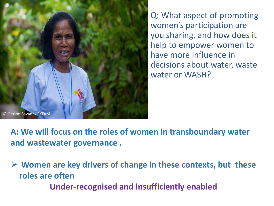

Q: What aspect of promoting women's participation are you sharing, and how does it help to empower women to have more influence in decisions about water, waste water or WASH?

**A: We will focus on the roles of women in transboundary water and wastewater governance .** 

 **Women are key drivers of change in these contexts, but these roles are often Under-recognised and insufficiently enabled**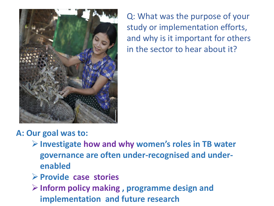

Q: What was the purpose of your study or implementation efforts, and why is it important for others in the sector to hear about it?

## **A: Our goal was to:**

- **Investigate how and why women's roles in TB water governance are often under-recognised and underenabled**
- **Provide case stories**
- **Inform policy making , programme design and implementation and future research**